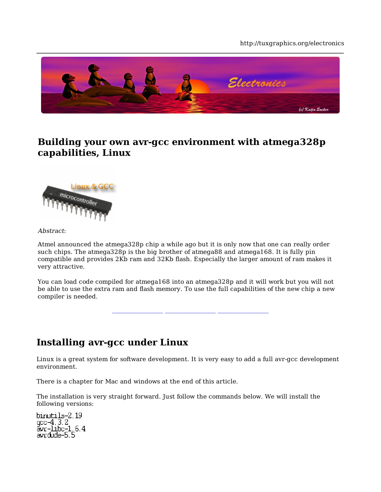#### http://tuxgraphics.org/electronics



# **Building your own avr-gcc environment with atmega328p capabilities, Linux**



#### Abstract:

Atmel announced the atmega328p chip a while ago but it is only now that one can really order such chips. The atmega328p is the big brother of atmega88 and atmega168. It is fully pin compatible and provides 2Kb ram and 32Kb flash. Especially the larger amount of ram makes it very attractive.

You can load code compiled for atmega168 into an atmega328p and it will work but you will not be able to use the extra ram and flash memory. To use the full capabilities of the new chip a new compiler is needed.

## **Installing avr-gcc under Linux**

Linux is a great system for software development. It is very easy to add a full avr-gcc development environment.

There is a chapter for Mac and windows at the end of this article.

The installation is very straight forward. Just follow the commands below. We will install the following versions:

binutils-2.19 gcc-4.3.2 avr-libc-1.6.4 avrdude-5.5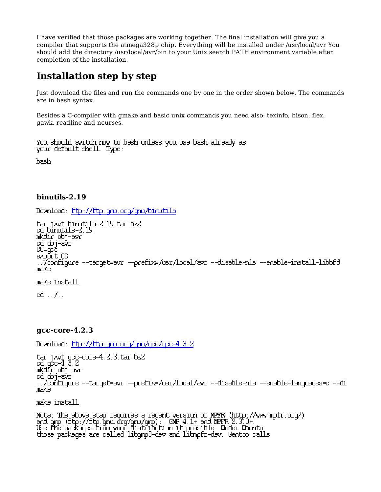I have verified that those packages are working together. The final installation will give you a compiler that supports the atmega328p chip. Everything will be installed under /usr/local/avr You should add the directory /usr/local/avr/bin to your Unix search PATH environment variable after completion of the installation.

# **Installation step by step**

Just download the files and run the commands one by one in the order shown below. The commands are in bash syntax.

Besides a C-compiler with gmake and basic unix commands you need also: texinfo, bison, flex, gawk, readline and ncurses.

You should switch now to bash unless you use bash already as your default shell. Type:

bash

### **binutils-2.19**

Download: ftp://ftp.gnu.org/gnu/binutils

tar jxvf binutils-2.19.tar.bz2 cd binutils-2.19 mkdir obj-avr cd obj-avr CC=gcc export CC ../configure --target=avr --prefix=/usr/local/avr --disable-nls --enable-install-libbfd make make install  $cd \ldots$ / $\ldots$ 

#### **gcc-core-4.2.3**

Download: ftp://ftp.gnu.org/gnu/gcc/gcc-4.3.2

tar jxvf gcc-core-4.2.3.tar.bz2 cd gcc-4.3.2 mkdir obj-avr cd obj-avr ../configure --target=avr --prefix=/usr/local/avr --disable-nls --enable-languages=c --disable-libssp make

make install

Note: The above step requires a recent version of MPFR (http://www.mpfr.org/) and gmp (ftp://ftp.gnu.org/gnu/gmp): GMP 4.1+ and MPFR 2.3.0+. Use the packages from your distribution if possible. Under Ubuntu those packages are called libgmp3-dev and libmpfr-dev. Gentoo calls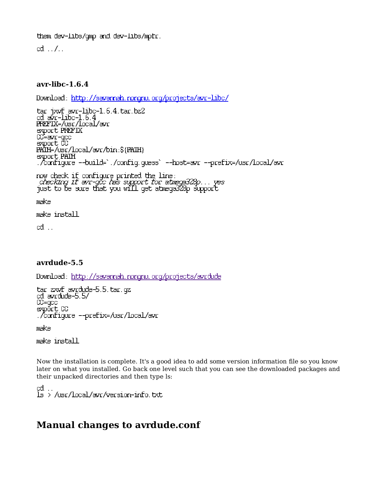them dev-libs/gmp and dev-libs/mpfr.

 $\mathsf{cd} \ldots \mathsf{d}$ ...

### **avr-libc-1.6.4**

Download: http://savannah.nongnu.org/projects/avr-libc/

```
tar jxvf avr-libc-1.6.4.tar.bz2
cd avr-libc-1.6.4
PREFIX=/usr/local/avr
export PREFIX
CC=avr-gcc
export CC
PATH=/usr/local/avr/bin:${PATH}
export PATH
./configure --build=`./config.guess` --host=avr --prefix=/usr/local/avr
now check if configure printed the line:
  checking if avr-gcc has support for atmega328p... yes 
just to be sure that you will get atmega328p support
make
make install
cd ..
```
### **avrdude-5.5**

Download: http://savannah.nongnu.org/projects/avrdude

```
tar zxvf avrdude-5.5.tar.gz
cd avrdude-5.5/
CC=gcc
export CC
./configure --prefix=/usr/local/avr
```
make

make install

Now the installation is complete. It's a good idea to add some version information file so you know later on what you installed. Go back one level such that you can see the downloaded packages and their unpacked directories and then type ls:

cd .. ls > /usr/local/avr/version-info.txt

## **Manual changes to avrdude.conf**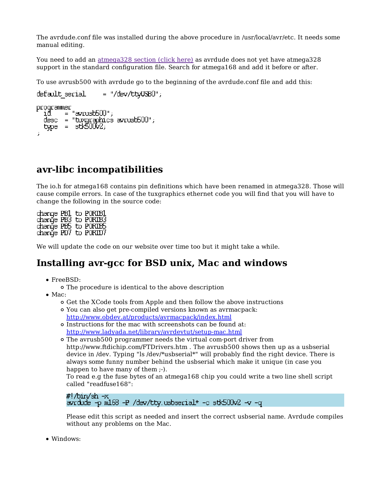The avrdude.conf file was installed during the above procedure in /usr/local/avr/etc. It needs some manual editing.

You need to add an atmega328 section (click here) as avrdude does not yet have atmega328 support in the standard configuration file. Search for atmega168 and add it before or after.

To use avrusb500 with avrdude go to the beginning of the avrdude.conf file and add this:

```
default \, serial = "/dev/tt_VUSB0";programmer
       \equiv "avrusb500";
  desc = "tuxgraphics avrusb500";
  type = stk50002;;
```
### **avr-libc incompatibilities**

The io.h for atmega168 contains pin definitions which have been renamed in atmega328. Those will cause compile errors. In case of the tuxgraphics ethernet code you will find that you will have to change the following in the source code:

change PB1 to PORTB1 change PB3 to PORTB3 change PB5 to PURIB5 change PD7 to PORTD7

We will update the code on our website over time too but it might take a while.

### **Installing avr-gcc for BSD unix, Mac and windows**

- FreeBSD:
	- The procedure is identical to the above description
- $\bullet$  Mac:
	- Get the XCode tools from Apple and then follow the above instructions
	- You can also get pre-compiled versions known as avrmacpack: http://www.obdev.at/products/avrmacpack/index.html
	- Instructions for the mac with screenshots can be found at: http://www.ladyada.net/library/avrdevtut/setup-mac.html
	- The avrusb500 programmer needs the virtual com-port driver from http://www.ftdichip.com/FTDrivers.htm . The avrusb500 shows then up as a usbserial device in /dev. Typing "ls /dev/\*usbserial\*" will probably find the right device. There is always some funny number behind the usbserial which make it unique (in case you happen to have many of them ;-).

To read e.g the fuse bytes of an atmega168 chip you could write a two line shell script called "readfuse168":

```
#!/bin/sh -x
avrdude -p m168 -P /dev/tty.usbserial* -c stk500v2 -v -q
```
Please edit this script as needed and insert the correct usbserial name. Avrdude compiles without any problems on the Mac.

• Windows: